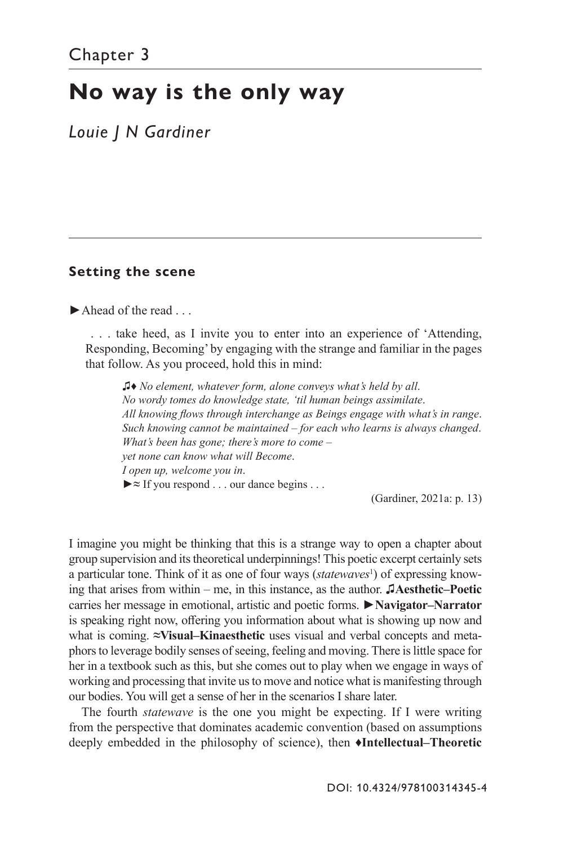# **No way is the only way**

*Louie J N Gardiner*

### **Setting the scene**

 $\blacktriangleright$  Ahead of the read ...

. . . take heed, as I invite you to enter into an experience of 'Attending, Responding, Becoming' by engaging with the strange and familiar in the pages that follow. As you proceed, hold this in mind:

♫♦ *No element, whatever form, alone conveys what's held by all*. *No wordy tomes do knowledge state, 'til human beings assimilate*. *All knowing flows through interchange as Beings engage with what's in range*. *Such knowing cannot be maintained – for each who learns is always changed*. *What's been has gone; there's more to come – yet none can know what will Become*. *I open up, welcome you in*. ►**≈** If you respond . . . our dance begins . . .

(Gardiner, 2021a: p. 13)

I imagine you might be thinking that this is a strange way to open a chapter about group supervision and its theoretical underpinnings! This poetic excerpt certainly sets a particular tone. Think of it as one of four ways (statewaves<sup>1</sup>) of expressing knowing that arises from within – me, in this instance, as the author. ♫**Aesthetic–Poetic** carries her message in emotional, artistic and poetic forms. ►**Navigator–Narrator** is speaking right now, offering you information about what is showing up now and what is coming. **≈Visual–Kinaesthetic** uses visual and verbal concepts and metaphors to leverage bodily senses of seeing, feeling and moving. There is little space for her in a textbook such as this, but she comes out to play when we engage in ways of working and processing that invite us to move and notice what is manifesting through our bodies. You will get a sense of her in the scenarios I share later.

The fourth *statewave* is the one you might be expecting. If I were writing from the perspective that dominates academic convention (based on assumptions deeply embedded in the philosophy of science), then ♦**Intellectual–Theoretic**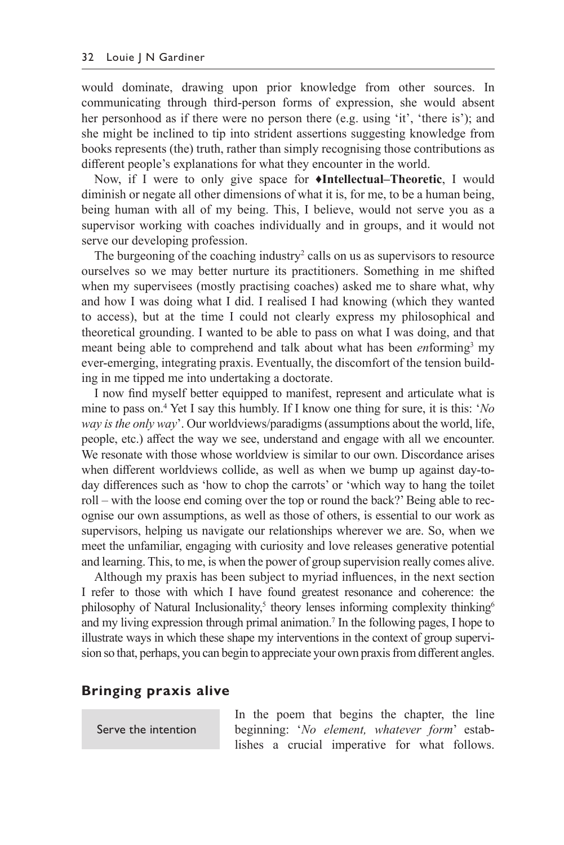would dominate, drawing upon prior knowledge from other sources. In communicating through third-person forms of expression, she would absent her personhood as if there were no person there (e.g. using 'it', 'there is'); and she might be inclined to tip into strident assertions suggesting knowledge from books represents (the) truth, rather than simply recognising those contributions as different people's explanations for what they encounter in the world.

Now, if I were to only give space for ♦**Intellectual–Theoretic**, I would diminish or negate all other dimensions of what it is, for me, to be a human being, being human with all of my being. This, I believe, would not serve you as a supervisor working with coaches individually and in groups, and it would not serve our developing profession.

The burgeoning of the coaching industry<sup>2</sup> calls on us as supervisors to resource ourselves so we may better nurture its practitioners. Something in me shifted when my supervisees (mostly practising coaches) asked me to share what, why and how I was doing what I did. I realised I had knowing (which they wanted to access), but at the time I could not clearly express my philosophical and theoretical grounding. I wanted to be able to pass on what I was doing, and that meant being able to comprehend and talk about what has been *enforming*<sup>3</sup> my ever-emerging, integrating praxis. Eventually, the discomfort of the tension building in me tipped me into undertaking a doctorate.

I now find myself better equipped to manifest, represent and articulate what is mine to pass on.<sup>4</sup> Yet I say this humbly. If I know one thing for sure, it is this: '*No way is the only way*'. Our worldviews/paradigms (assumptions about the world, life, people, etc.) affect the way we see, understand and engage with all we encounter. We resonate with those whose worldview is similar to our own. Discordance arises when different worldviews collide, as well as when we bump up against day-today differences such as 'how to chop the carrots' or 'which way to hang the toilet roll – with the loose end coming over the top or round the back?' Being able to recognise our own assumptions, as well as those of others, is essential to our work as supervisors, helping us navigate our relationships wherever we are. So, when we meet the unfamiliar, engaging with curiosity and love releases generative potential and learning. This, to me, is when the power of group supervision really comes alive.

Although my praxis has been subject to myriad influences, in the next section I refer to those with which I have found greatest resonance and coherence: the philosophy of Natural Inclusionality,<sup>5</sup> theory lenses informing complexity thinking<sup>6</sup> and my living expression through primal animation.<sup>7</sup> In the following pages, I hope to illustrate ways in which these shape my interventions in the context of group supervision so that, perhaps, you can begin to appreciate your own praxis from different angles.

#### **Bringing praxis alive**

Serve the intention

In the poem that begins the chapter, the line beginning: '*No element, whatever form*' establishes a crucial imperative for what follows.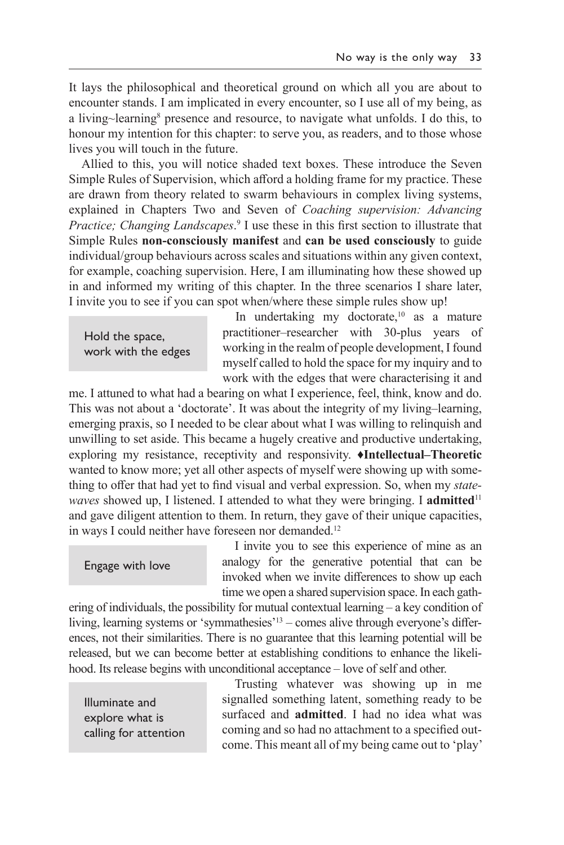It lays the philosophical and theoretical ground on which all you are about to encounter stands. I am implicated in every encounter, so I use all of my being, as a living~learning<sup>8</sup> presence and resource, to navigate what unfolds. I do this, to honour my intention for this chapter: to serve you, as readers, and to those whose lives you will touch in the future.

Allied to this, you will notice shaded text boxes. These introduce the Seven Simple Rules of Supervision, which afford a holding frame for my practice. These are drawn from theory related to swarm behaviours in complex living systems, explained in Chapters Two and Seven of *Coaching supervision: Advancing Practice; Changing Landscapes*.<sup>9</sup> I use these in this first section to illustrate that Simple Rules **non-consciously manifest** and **can be used consciously** to guide individual/group behaviours across scales and situations within any given context, for example, coaching supervision. Here, I am illuminating how these showed up in and informed my writing of this chapter. In the three scenarios I share later, I invite you to see if you can spot when/where these simple rules show up!

Hold the space, work with the edges

In undertaking my doctorate, $10$  as a mature practitioner–researcher with 30-plus years of working in the realm of people development, I found myself called to hold the space for my inquiry and to work with the edges that were characterising it and

me. I attuned to what had a bearing on what I experience, feel, think, know and do. This was not about a 'doctorate'. It was about the integrity of my living–learning, emerging praxis, so I needed to be clear about what I was willing to relinquish and unwilling to set aside. This became a hugely creative and productive undertaking, exploring my resistance, receptivity and responsivity. ♦**Intellectual–Theoretic** wanted to know more; yet all other aspects of myself were showing up with something to offer that had yet to find visual and verbal expression. So, when my *statewaves* showed up, I listened. I attended to what they were bringing. I **admitted**<sup>11</sup> and gave diligent attention to them. In return, they gave of their unique capacities, in ways I could neither have foreseen nor demanded.<sup>12</sup>

#### Engage with love

I invite you to see this experience of mine as an analogy for the generative potential that can be invoked when we invite differences to show up each time we open a shared supervision space. In each gath-

ering of individuals, the possibility for mutual contextual learning – a key condition of living, learning systems or 'symmathesies'13 – comes alive through everyone's differences, not their similarities. There is no guarantee that this learning potential will be released, but we can become better at establishing conditions to enhance the likelihood. Its release begins with unconditional acceptance – love of self and other.

Illuminate and explore what is calling for attention

Trusting whatever was showing up in me signalled something latent, something ready to be surfaced and **admitted**. I had no idea what was coming and so had no attachment to a specified outcome. This meant all of my being came out to 'play'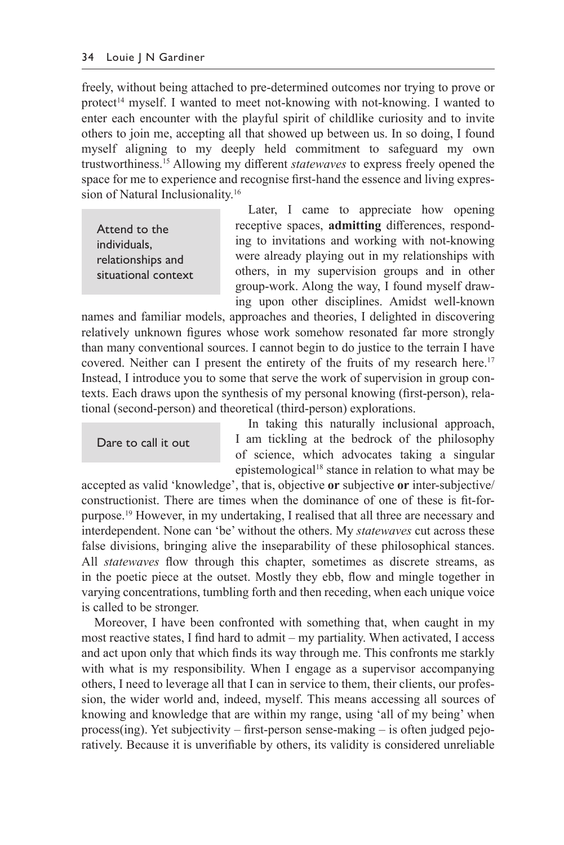freely, without being attached to pre-determined outcomes nor trying to prove or protect<sup>14</sup> myself. I wanted to meet not-knowing with not-knowing. I wanted to enter each encounter with the playful spirit of childlike curiosity and to invite others to join me, accepting all that showed up between us. In so doing, I found myself aligning to my deeply held commitment to safeguard my own trustworthiness.15 Allowing my different *statewaves* to express freely opened the space for me to experience and recognise first-hand the essence and living expression of Natural Inclusionality.16

Attend to the individuals, relationships and situational context

Later, I came to appreciate how opening receptive spaces, **admitting** differences, responding to invitations and working with not-knowing were already playing out in my relationships with others, in my supervision groups and in other group-work. Along the way, I found myself drawing upon other disciplines. Amidst well-known

names and familiar models, approaches and theories, I delighted in discovering relatively unknown figures whose work somehow resonated far more strongly than many conventional sources. I cannot begin to do justice to the terrain I have covered. Neither can I present the entirety of the fruits of my research here.<sup>17</sup> Instead, I introduce you to some that serve the work of supervision in group contexts. Each draws upon the synthesis of my personal knowing (first-person), relational (second-person) and theoretical (third-person) explorations.

Dare to call it out

In taking this naturally inclusional approach, I am tickling at the bedrock of the philosophy of science, which advocates taking a singular epistemological18 stance in relation to what may be

accepted as valid 'knowledge', that is, objective **or** subjective **or** inter-subjective/ constructionist. There are times when the dominance of one of these is fit-forpurpose.19 However, in my undertaking, I realised that all three are necessary and interdependent. None can 'be' without the others. My *statewaves* cut across these false divisions, bringing alive the inseparability of these philosophical stances. All *statewaves* flow through this chapter, sometimes as discrete streams, as in the poetic piece at the outset. Mostly they ebb, flow and mingle together in varying concentrations, tumbling forth and then receding, when each unique voice is called to be stronger.

Moreover, I have been confronted with something that, when caught in my most reactive states, I find hard to admit – my partiality. When activated, I access and act upon only that which finds its way through me. This confronts me starkly with what is my responsibility. When I engage as a supervisor accompanying others, I need to leverage all that I can in service to them, their clients, our profession, the wider world and, indeed, myself. This means accessing all sources of knowing and knowledge that are within my range, using 'all of my being' when process(ing). Yet subjectivity – first-person sense-making – is often judged pejoratively. Because it is unverifiable by others, its validity is considered unreliable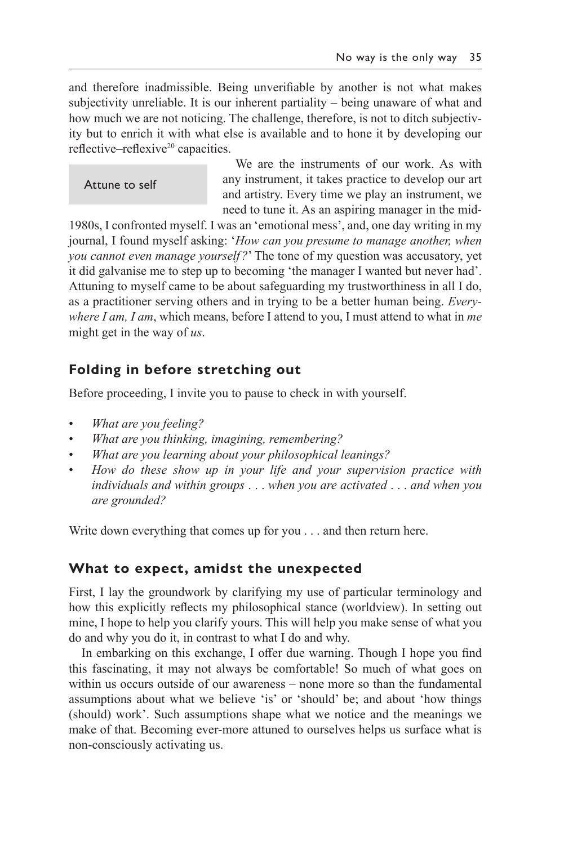and therefore inadmissible. Being unverifiable by another is not what makes subjectivity unreliable. It is our inherent partiality – being unaware of what and how much we are not noticing. The challenge, therefore, is not to ditch subjectivity but to enrich it with what else is available and to hone it by developing our reflective–reflexive<sup>20</sup> capacities.

Attune to self

We are the instruments of our work. As with any instrument, it takes practice to develop our art and artistry. Every time we play an instrument, we need to tune it. As an aspiring manager in the mid-

1980s, I confronted myself. I was an 'emotional mess', and, one day writing in my journal, I found myself asking: '*How can you presume to manage another, when you cannot even manage yourself?*' The tone of my question was accusatory, yet it did galvanise me to step up to becoming 'the manager I wanted but never had'. Attuning to myself came to be about safeguarding my trustworthiness in all I do, as a practitioner serving others and in trying to be a better human being. *Everywhere I am, I am*, which means, before I attend to you, I must attend to what in *me* might get in the way of *us*.

# **Folding in before stretching out**

Before proceeding, I invite you to pause to check in with yourself.

- *What are you feeling?*
- *What are you thinking, imagining, remembering?*
- *What are you learning about your philosophical leanings?*
- *How do these show up in your life and your supervision practice with individuals and within groups* . . . *when you are activated* . . . *and when you are grounded?*

Write down everything that comes up for you . . . and then return here.

#### **What to expect, amidst the unexpected**

First, I lay the groundwork by clarifying my use of particular terminology and how this explicitly reflects my philosophical stance (worldview). In setting out mine, I hope to help you clarify yours. This will help you make sense of what you do and why you do it, in contrast to what I do and why.

In embarking on this exchange, I offer due warning. Though I hope you find this fascinating, it may not always be comfortable! So much of what goes on within us occurs outside of our awareness – none more so than the fundamental assumptions about what we believe 'is' or 'should' be; and about 'how things (should) work'. Such assumptions shape what we notice and the meanings we make of that. Becoming ever-more attuned to ourselves helps us surface what is non-consciously activating us.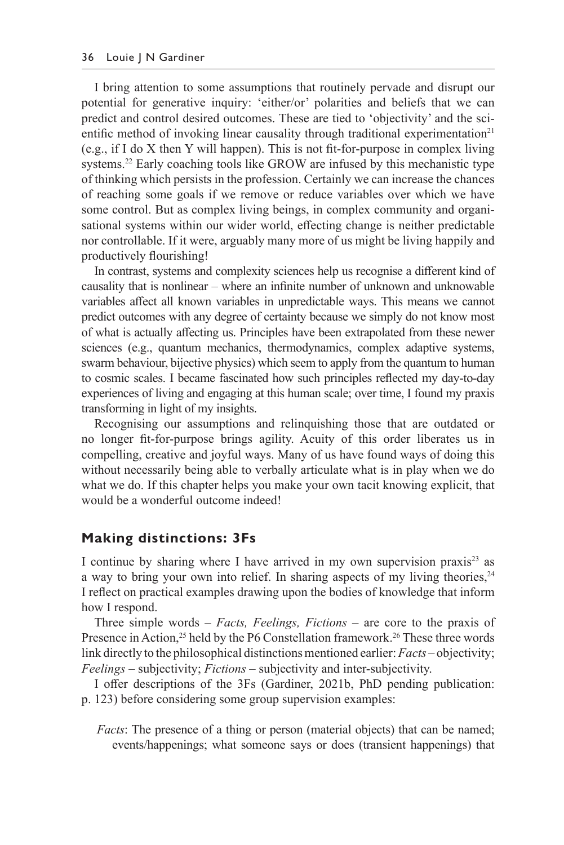I bring attention to some assumptions that routinely pervade and disrupt our potential for generative inquiry: 'either/or' polarities and beliefs that we can predict and control desired outcomes. These are tied to 'objectivity' and the scientific method of invoking linear causality through traditional experimentation<sup>21</sup> (e.g., if I do X then Y will happen). This is not fit-for-purpose in complex living systems.<sup>22</sup> Early coaching tools like GROW are infused by this mechanistic type of thinking which persists in the profession. Certainly we can increase the chances of reaching some goals if we remove or reduce variables over which we have some control. But as complex living beings, in complex community and organisational systems within our wider world, effecting change is neither predictable nor controllable. If it were, arguably many more of us might be living happily and productively flourishing!

In contrast, systems and complexity sciences help us recognise a different kind of causality that is nonlinear – where an infinite number of unknown and unknowable variables affect all known variables in unpredictable ways. This means we cannot predict outcomes with any degree of certainty because we simply do not know most of what is actually affecting us. Principles have been extrapolated from these newer sciences (e.g., quantum mechanics, thermodynamics, complex adaptive systems, swarm behaviour, bijective physics) which seem to apply from the quantum to human to cosmic scales. I became fascinated how such principles reflected my day-to-day experiences of living and engaging at this human scale; over time, I found my praxis transforming in light of my insights.

Recognising our assumptions and relinquishing those that are outdated or no longer fit-for-purpose brings agility. Acuity of this order liberates us in compelling, creative and joyful ways. Many of us have found ways of doing this without necessarily being able to verbally articulate what is in play when we do what we do. If this chapter helps you make your own tacit knowing explicit, that would be a wonderful outcome indeed!

#### **Making distinctions: 3Fs**

I continue by sharing where I have arrived in my own supervision praxis<sup>23</sup> as a way to bring your own into relief. In sharing aspects of my living theories,  $24$ I reflect on practical examples drawing upon the bodies of knowledge that inform how I respond.

Three simple words – *Facts, Feelings, Fictions* – are core to the praxis of Presence in Action,<sup>25</sup> held by the P6 Constellation framework.<sup>26</sup> These three words link directly to the philosophical distinctions mentioned earlier: *Facts* – objectivity; *Feelings* – subjectivity; *Fictions* – subjectivity and inter-subjectivity.

I offer descriptions of the 3Fs (Gardiner, 2021b, PhD pending publication: p. 123) before considering some group supervision examples:

*Facts*: The presence of a thing or person (material objects) that can be named; events/happenings; what someone says or does (transient happenings) that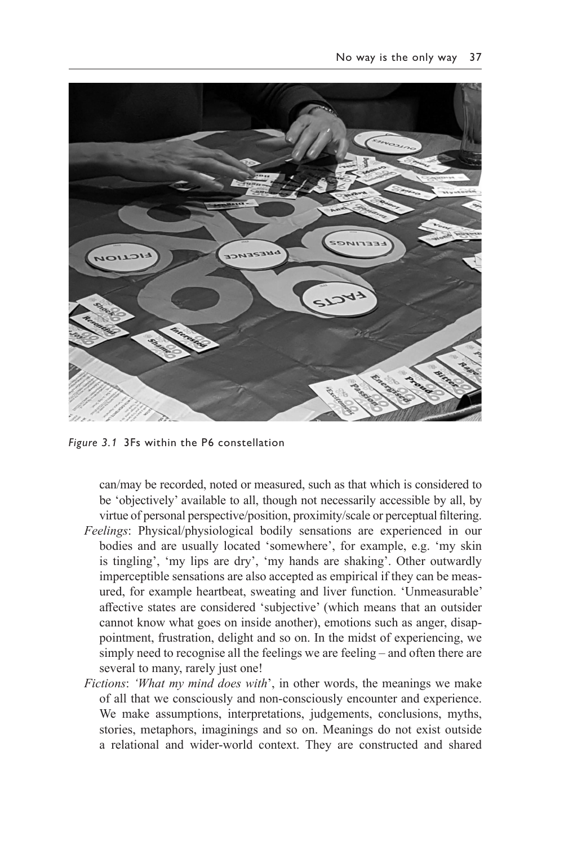

*Figure 3.1* 3Fs within the P6 constellation

can/may be recorded, noted or measured, such as that which is considered to be 'objectively' available to all, though not necessarily accessible by all, by virtue of personal perspective/position, proximity/scale or perceptual filtering. *Feelings*: Physical/physiological bodily sensations are experienced in our bodies and are usually located 'somewhere', for example, e.g. 'my skin is tingling', 'my lips are dry', 'my hands are shaking'. Other outwardly imperceptible sensations are also accepted as empirical if they can be measured, for example heartbeat, sweating and liver function. 'Unmeasurable' affective states are considered 'subjective' (which means that an outsider cannot know what goes on inside another), emotions such as anger, disappointment, frustration, delight and so on. In the midst of experiencing, we simply need to recognise all the feelings we are feeling – and often there are several to many, rarely just one!

*Fictions*: *'What my mind does with*', in other words, the meanings we make of all that we consciously and non-consciously encounter and experience. We make assumptions, interpretations, judgements, conclusions, myths, stories, metaphors, imaginings and so on. Meanings do not exist outside a relational and wider-world context. They are constructed and shared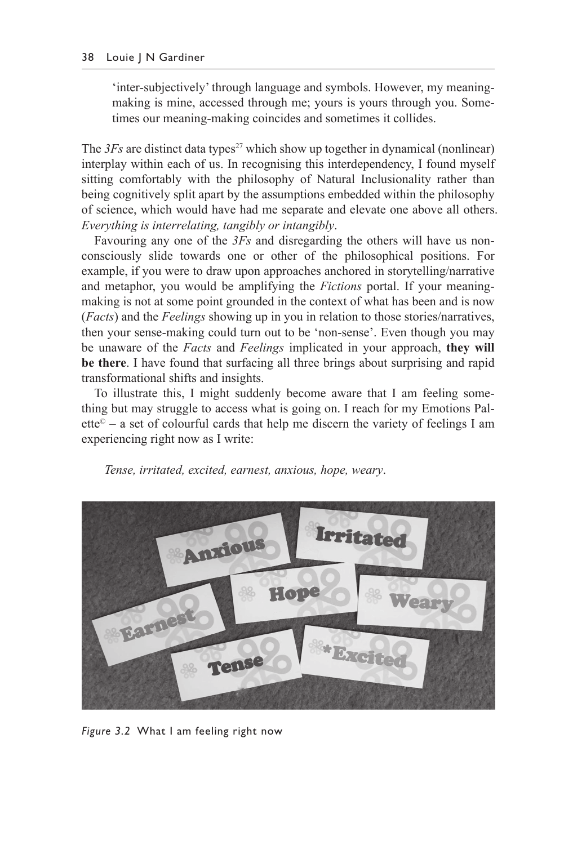'inter-subjectively' through language and symbols. However, my meaningmaking is mine, accessed through me; yours is yours through you. Sometimes our meaning-making coincides and sometimes it collides.

The  $3Fs$  are distinct data types<sup>27</sup> which show up together in dynamical (nonlinear) interplay within each of us. In recognising this interdependency, I found myself sitting comfortably with the philosophy of Natural Inclusionality rather than being cognitively split apart by the assumptions embedded within the philosophy of science, which would have had me separate and elevate one above all others. *Everything is interrelating, tangibly or intangibly*.

Favouring any one of the *3Fs* and disregarding the others will have us nonconsciously slide towards one or other of the philosophical positions. For example, if you were to draw upon approaches anchored in storytelling/narrative and metaphor, you would be amplifying the *Fictions* portal. If your meaningmaking is not at some point grounded in the context of what has been and is now (*Facts*) and the *Feelings* showing up in you in relation to those stories/narratives, then your sense-making could turn out to be 'non-sense'. Even though you may be unaware of the *Facts* and *Feelings* implicated in your approach, **they will be there**. I have found that surfacing all three brings about surprising and rapid transformational shifts and insights.

To illustrate this, I might suddenly become aware that I am feeling something but may struggle to access what is going on. I reach for my Emotions Palette© – a set of colourful cards that help me discern the variety of feelings I am experiencing right now as I write:

*Tense, irritated, excited, earnest, anxious, hope, weary*.



*Figure 3.2* What I am feeling right now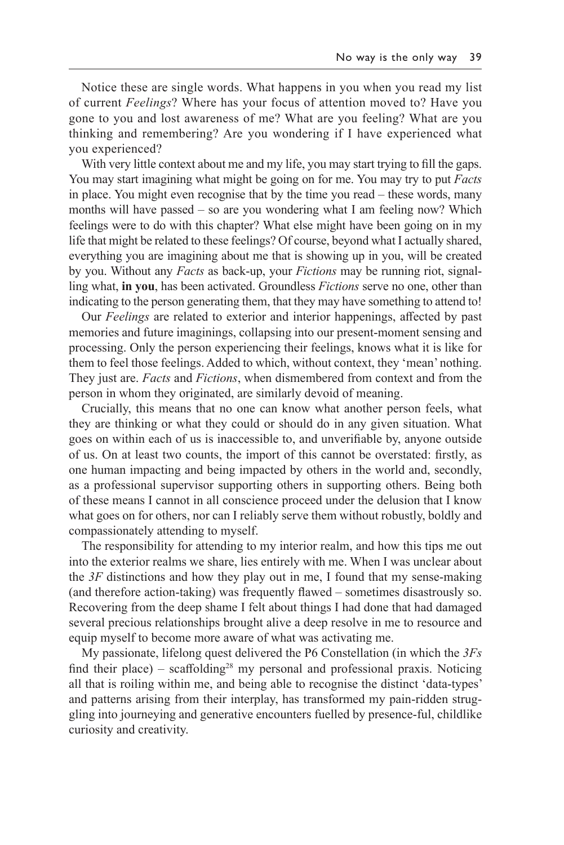Notice these are single words. What happens in you when you read my list of current *Feelings*? Where has your focus of attention moved to? Have you gone to you and lost awareness of me? What are you feeling? What are you thinking and remembering? Are you wondering if I have experienced what you experienced?

With very little context about me and my life, you may start trying to fill the gaps. You may start imagining what might be going on for me. You may try to put *Facts* in place. You might even recognise that by the time you read – these words, many months will have passed – so are you wondering what I am feeling now? Which feelings were to do with this chapter? What else might have been going on in my life that might be related to these feelings? Of course, beyond what I actually shared, everything you are imagining about me that is showing up in you, will be created by you. Without any *Facts* as back-up, your *Fictions* may be running riot, signalling what, **in you**, has been activated. Groundless *Fictions* serve no one, other than indicating to the person generating them, that they may have something to attend to!

Our *Feelings* are related to exterior and interior happenings, affected by past memories and future imaginings, collapsing into our present-moment sensing and processing. Only the person experiencing their feelings, knows what it is like for them to feel those feelings. Added to which, without context, they 'mean' nothing. They just are. *Facts* and *Fictions*, when dismembered from context and from the person in whom they originated, are similarly devoid of meaning.

Crucially, this means that no one can know what another person feels, what they are thinking or what they could or should do in any given situation. What goes on within each of us is inaccessible to, and unverifiable by, anyone outside of us. On at least two counts, the import of this cannot be overstated: firstly, as one human impacting and being impacted by others in the world and, secondly, as a professional supervisor supporting others in supporting others. Being both of these means I cannot in all conscience proceed under the delusion that I know what goes on for others, nor can I reliably serve them without robustly, boldly and compassionately attending to myself.

The responsibility for attending to my interior realm, and how this tips me out into the exterior realms we share, lies entirely with me. When I was unclear about the *3F* distinctions and how they play out in me, I found that my sense-making (and therefore action-taking) was frequently flawed – sometimes disastrously so. Recovering from the deep shame I felt about things I had done that had damaged several precious relationships brought alive a deep resolve in me to resource and equip myself to become more aware of what was activating me.

My passionate, lifelong quest delivered the P6 Constellation (in which the *3Fs* find their place) – scaffolding<sup>28</sup> my personal and professional praxis. Noticing all that is roiling within me, and being able to recognise the distinct 'data-types' and patterns arising from their interplay, has transformed my pain-ridden struggling into journeying and generative encounters fuelled by presence-ful, childlike curiosity and creativity.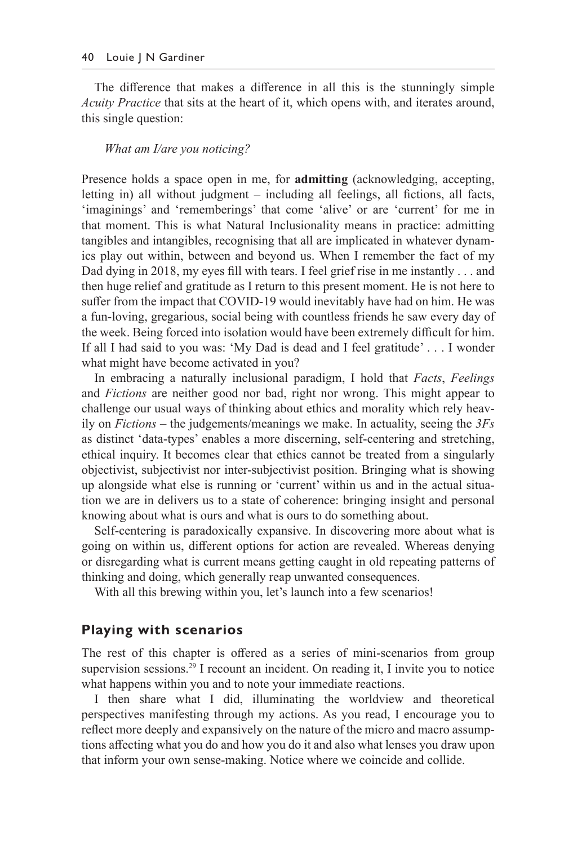The difference that makes a difference in all this is the stunningly simple *Acuity Practice* that sits at the heart of it, which opens with, and iterates around, this single question:

#### *What am I/are you noticing?*

Presence holds a space open in me, for **admitting** (acknowledging, accepting, letting in) all without judgment – including all feelings, all fictions, all facts, 'imaginings' and 'rememberings' that come 'alive' or are 'current' for me in that moment. This is what Natural Inclusionality means in practice: admitting tangibles and intangibles, recognising that all are implicated in whatever dynamics play out within, between and beyond us. When I remember the fact of my Dad dying in 2018, my eyes fill with tears. I feel grief rise in me instantly ... and then huge relief and gratitude as I return to this present moment. He is not here to suffer from the impact that COVID-19 would inevitably have had on him. He was a fun-loving, gregarious, social being with countless friends he saw every day of the week. Being forced into isolation would have been extremely difficult for him. If all I had said to you was: 'My Dad is dead and I feel gratitude' . . . I wonder what might have become activated in you?

In embracing a naturally inclusional paradigm, I hold that *Facts*, *Feelings* and *Fictions* are neither good nor bad, right nor wrong. This might appear to challenge our usual ways of thinking about ethics and morality which rely heavily on *Fictions* – the judgements/meanings we make. In actuality, seeing the *3Fs* as distinct 'data-types' enables a more discerning, self-centering and stretching, ethical inquiry. It becomes clear that ethics cannot be treated from a singularly objectivist, subjectivist nor inter-subjectivist position. Bringing what is showing up alongside what else is running or 'current' within us and in the actual situation we are in delivers us to a state of coherence: bringing insight and personal knowing about what is ours and what is ours to do something about.

Self-centering is paradoxically expansive. In discovering more about what is going on within us, different options for action are revealed. Whereas denying or disregarding what is current means getting caught in old repeating patterns of thinking and doing, which generally reap unwanted consequences.

With all this brewing within you, let's launch into a few scenarios!

#### **Playing with scenarios**

The rest of this chapter is offered as a series of mini-scenarios from group supervision sessions.29 I recount an incident. On reading it, I invite you to notice what happens within you and to note your immediate reactions.

I then share what I did, illuminating the worldview and theoretical perspectives manifesting through my actions. As you read, I encourage you to reflect more deeply and expansively on the nature of the micro and macro assumptions affecting what you do and how you do it and also what lenses you draw upon that inform your own sense-making. Notice where we coincide and collide.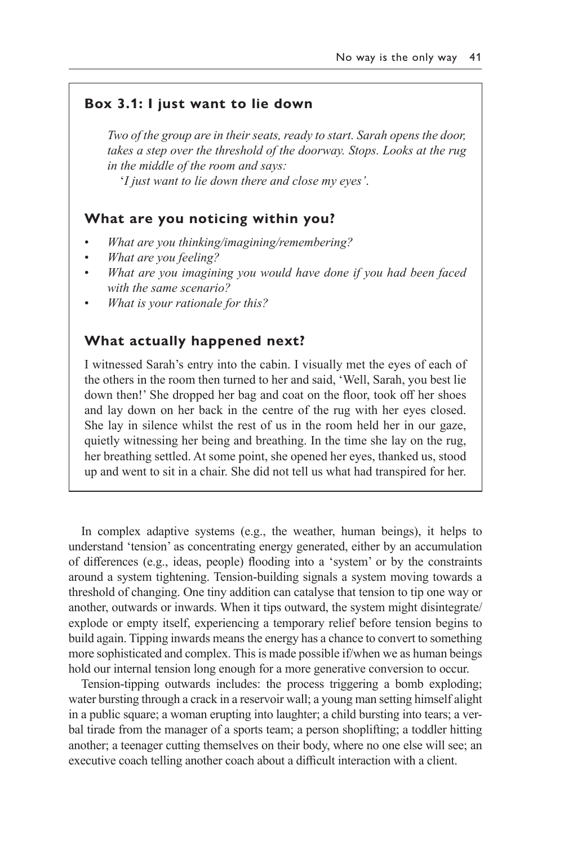## **Box 3.1: I just want to lie down**

*Two of the group are in their seats, ready to start. Sarah opens the door, takes a step over the threshold of the doorway. Stops. Looks at the rug in the middle of the room and says:*

'*I just want to lie down there and close my eyes'*.

#### **What are you noticing within you?**

- *What are you thinking/imagining/remembering?*
- *What are you feeling?*
- *What are you imagining you would have done if you had been faced with the same scenario?*
- *What is your rationale for this?*

#### **What actually happened next?**

I witnessed Sarah's entry into the cabin. I visually met the eyes of each of the others in the room then turned to her and said, 'Well, Sarah, you best lie down then!' She dropped her bag and coat on the floor, took off her shoes and lay down on her back in the centre of the rug with her eyes closed. She lay in silence whilst the rest of us in the room held her in our gaze, quietly witnessing her being and breathing. In the time she lay on the rug, her breathing settled. At some point, she opened her eyes, thanked us, stood up and went to sit in a chair. She did not tell us what had transpired for her.

In complex adaptive systems (e.g., the weather, human beings), it helps to understand 'tension' as concentrating energy generated, either by an accumulation of differences (e.g., ideas, people) flooding into a 'system' or by the constraints around a system tightening. Tension-building signals a system moving towards a threshold of changing. One tiny addition can catalyse that tension to tip one way or another, outwards or inwards. When it tips outward, the system might disintegrate/ explode or empty itself, experiencing a temporary relief before tension begins to build again. Tipping inwards means the energy has a chance to convert to something more sophisticated and complex. This is made possible if/when we as human beings hold our internal tension long enough for a more generative conversion to occur.

Tension-tipping outwards includes: the process triggering a bomb exploding; water bursting through a crack in a reservoir wall; a young man setting himself alight in a public square; a woman erupting into laughter; a child bursting into tears; a verbal tirade from the manager of a sports team; a person shoplifting; a toddler hitting another; a teenager cutting themselves on their body, where no one else will see; an executive coach telling another coach about a difficult interaction with a client.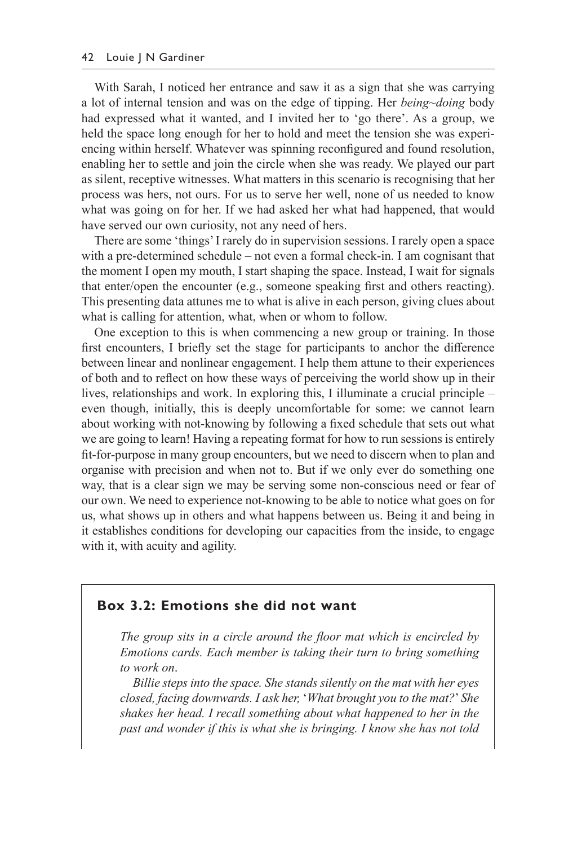With Sarah, I noticed her entrance and saw it as a sign that she was carrying a lot of internal tension and was on the edge of tipping. Her *being~doing* body had expressed what it wanted, and I invited her to 'go there'. As a group, we held the space long enough for her to hold and meet the tension she was experiencing within herself. Whatever was spinning reconfigured and found resolution, enabling her to settle and join the circle when she was ready. We played our part as silent, receptive witnesses. What matters in this scenario is recognising that her process was hers, not ours. For us to serve her well, none of us needed to know what was going on for her. If we had asked her what had happened, that would have served our own curiosity, not any need of hers.

There are some 'things' I rarely do in supervision sessions. I rarely open a space with a pre-determined schedule – not even a formal check-in. I am cognisant that the moment I open my mouth, I start shaping the space. Instead, I wait for signals that enter/open the encounter (e.g., someone speaking first and others reacting). This presenting data attunes me to what is alive in each person, giving clues about what is calling for attention, what, when or whom to follow.

One exception to this is when commencing a new group or training. In those first encounters, I briefly set the stage for participants to anchor the difference between linear and nonlinear engagement. I help them attune to their experiences of both and to reflect on how these ways of perceiving the world show up in their lives, relationships and work. In exploring this, I illuminate a crucial principle – even though, initially, this is deeply uncomfortable for some: we cannot learn about working with not-knowing by following a fixed schedule that sets out what we are going to learn! Having a repeating format for how to run sessions is entirely fit-for-purpose in many group encounters, but we need to discern when to plan and organise with precision and when not to. But if we only ever do something one way, that is a clear sign we may be serving some non-conscious need or fear of our own. We need to experience not-knowing to be able to notice what goes on for us, what shows up in others and what happens between us. Being it and being in it establishes conditions for developing our capacities from the inside, to engage with it, with acuity and agility.

#### **Box 3.2: Emotions she did not want**

*The group sits in a circle around the floor mat which is encircled by Emotions cards. Each member is taking their turn to bring something to work on*.

*Billie steps into the space. She stands silently on the mat with her eyes closed, facing downwards. I ask her,* '*What brought you to the mat?*' *She shakes her head. I recall something about what happened to her in the past and wonder if this is what she is bringing. I know she has not told*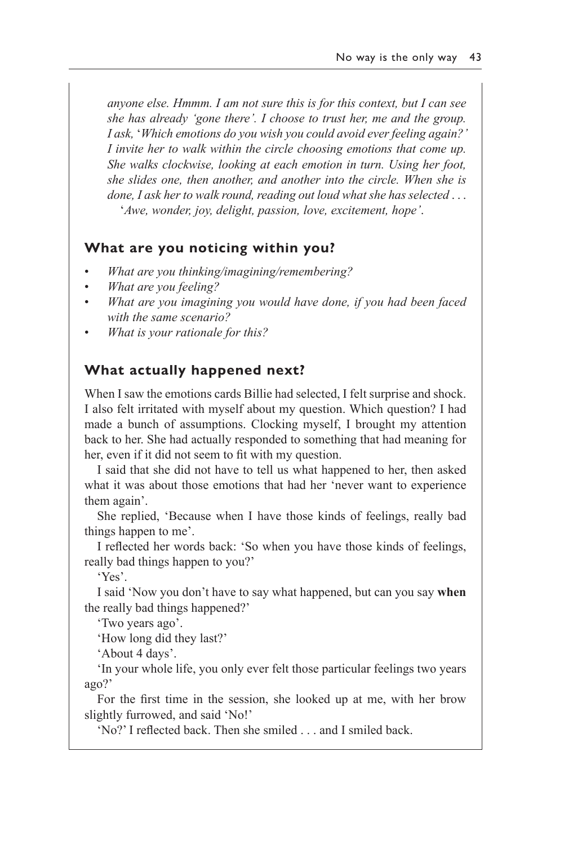*anyone else. Hmmm. I am not sure this is for this context, but I can see she has already 'gone there'. I choose to trust her, me and the group. I ask,* '*Which emotions do you wish you could avoid ever feeling again?' I invite her to walk within the circle choosing emotions that come up. She walks clockwise, looking at each emotion in turn. Using her foot, she slides one, then another, and another into the circle. When she is done, I ask her to walk round, reading out loud what she has selected* . . . '*Awe, wonder, joy, delight, passion, love, excitement, hope'*.

## **What are you noticing within you?**

- *What are you thinking/imagining/remembering?*
- *What are you feeling?*
- *What are you imagining you would have done, if you had been faced with the same scenario?*
- *What is your rationale for this?*

## **What actually happened next?**

When I saw the emotions cards Billie had selected, I felt surprise and shock. I also felt irritated with myself about my question. Which question? I had made a bunch of assumptions. Clocking myself, I brought my attention back to her. She had actually responded to something that had meaning for her, even if it did not seem to fit with my question.

I said that she did not have to tell us what happened to her, then asked what it was about those emotions that had her 'never want to experience them again'.

She replied, 'Because when I have those kinds of feelings, really bad things happen to me'.

I reflected her words back: 'So when you have those kinds of feelings, really bad things happen to you?'

'Yes'.

I said 'Now you don't have to say what happened, but can you say **when** the really bad things happened?'

'Two years ago'.

'How long did they last?'

'About 4 days'.

'In your whole life, you only ever felt those particular feelings two years ago?'

For the first time in the session, she looked up at me, with her brow slightly furrowed, and said 'No!'

'No?' I reflected back. Then she smiled . . . and I smiled back.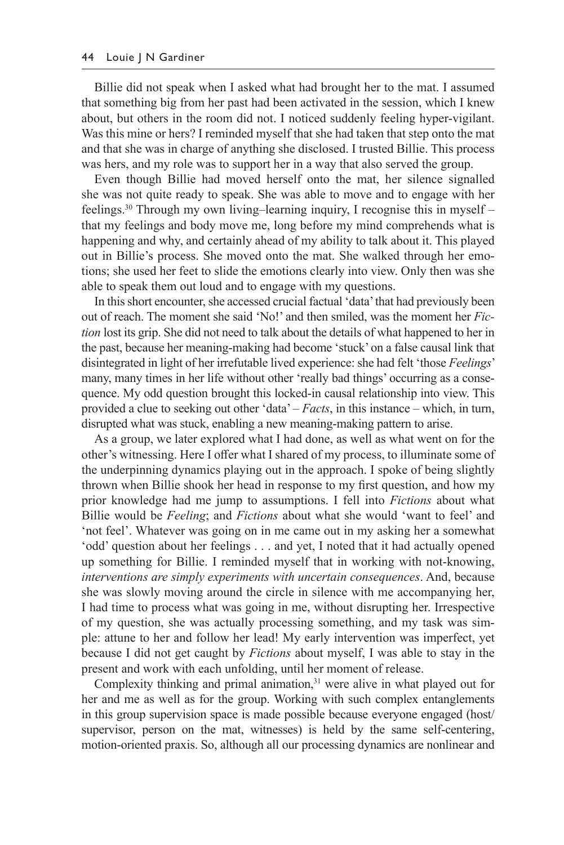Billie did not speak when I asked what had brought her to the mat. I assumed that something big from her past had been activated in the session, which I knew about, but others in the room did not. I noticed suddenly feeling hyper-vigilant. Was this mine or hers? I reminded myself that she had taken that step onto the mat and that she was in charge of anything she disclosed. I trusted Billie. This process was hers, and my role was to support her in a way that also served the group.

Even though Billie had moved herself onto the mat, her silence signalled she was not quite ready to speak. She was able to move and to engage with her feelings.<sup>30</sup> Through my own living–learning inquiry, I recognise this in myself – that my feelings and body move me, long before my mind comprehends what is happening and why, and certainly ahead of my ability to talk about it. This played out in Billie's process. She moved onto the mat. She walked through her emotions; she used her feet to slide the emotions clearly into view. Only then was she able to speak them out loud and to engage with my questions.

In this short encounter, she accessed crucial factual 'data' that had previously been out of reach. The moment she said 'No!' and then smiled, was the moment her *Fiction* lost its grip. She did not need to talk about the details of what happened to her in the past, because her meaning-making had become 'stuck' on a false causal link that disintegrated in light of her irrefutable lived experience: she had felt 'those *Feelings*' many, many times in her life without other 'really bad things' occurring as a consequence. My odd question brought this locked-in causal relationship into view. This provided a clue to seeking out other 'data' – *Facts*, in this instance – which, in turn, disrupted what was stuck, enabling a new meaning-making pattern to arise.

As a group, we later explored what I had done, as well as what went on for the other's witnessing. Here I offer what I shared of my process, to illuminate some of the underpinning dynamics playing out in the approach. I spoke of being slightly thrown when Billie shook her head in response to my first question, and how my prior knowledge had me jump to assumptions. I fell into *Fictions* about what Billie would be *Feeling*; and *Fictions* about what she would 'want to feel' and 'not feel'. Whatever was going on in me came out in my asking her a somewhat 'odd' question about her feelings . . . and yet, I noted that it had actually opened up something for Billie. I reminded myself that in working with not-knowing, *interventions are simply experiments with uncertain consequences*. And, because she was slowly moving around the circle in silence with me accompanying her, I had time to process what was going in me, without disrupting her. Irrespective of my question, she was actually processing something, and my task was simple: attune to her and follow her lead! My early intervention was imperfect, yet because I did not get caught by *Fictions* about myself, I was able to stay in the present and work with each unfolding, until her moment of release.

Complexity thinking and primal animation, $31$  were alive in what played out for her and me as well as for the group. Working with such complex entanglements in this group supervision space is made possible because everyone engaged (host/ supervisor, person on the mat, witnesses) is held by the same self-centering, motion-oriented praxis. So, although all our processing dynamics are nonlinear and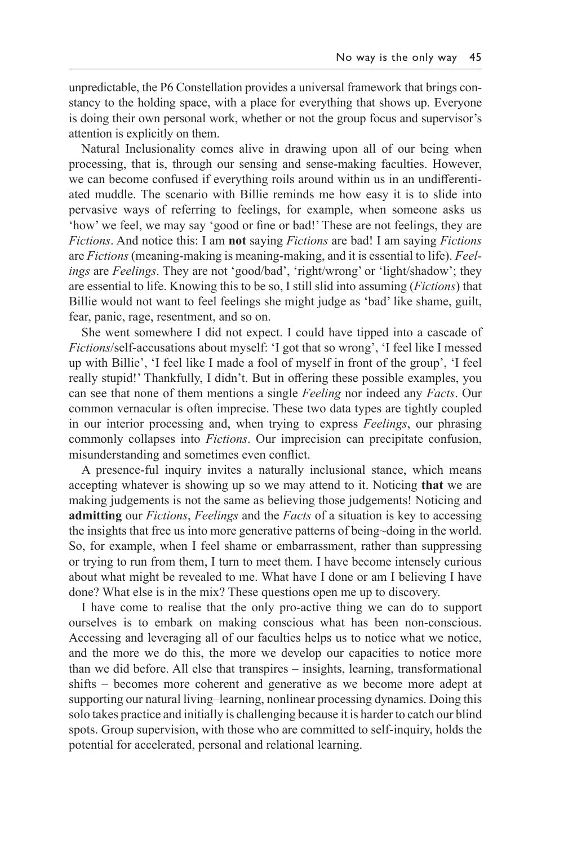unpredictable, the P6 Constellation provides a universal framework that brings constancy to the holding space, with a place for everything that shows up. Everyone is doing their own personal work, whether or not the group focus and supervisor's attention is explicitly on them.

Natural Inclusionality comes alive in drawing upon all of our being when processing, that is, through our sensing and sense-making faculties. However, we can become confused if everything roils around within us in an undifferentiated muddle. The scenario with Billie reminds me how easy it is to slide into pervasive ways of referring to feelings, for example, when someone asks us 'how' we feel, we may say 'good or fine or bad!' These are not feelings, they are *Fictions*. And notice this: I am **not** saying *Fictions* are bad! I am saying *Fictions* are *Fictions* (meaning-making is meaning-making, and it is essential to life). *Feelings* are *Feelings*. They are not 'good/bad', 'right/wrong' or 'light/shadow'; they are essential to life. Knowing this to be so, I still slid into assuming (*Fictions*) that Billie would not want to feel feelings she might judge as 'bad' like shame, guilt, fear, panic, rage, resentment, and so on.

She went somewhere I did not expect. I could have tipped into a cascade of *Fictions*/self-accusations about myself: 'I got that so wrong', 'I feel like I messed up with Billie', 'I feel like I made a fool of myself in front of the group', 'I feel really stupid!' Thankfully, I didn't. But in offering these possible examples, you can see that none of them mentions a single *Feeling* nor indeed any *Facts*. Our common vernacular is often imprecise. These two data types are tightly coupled in our interior processing and, when trying to express *Feelings*, our phrasing commonly collapses into *Fictions*. Our imprecision can precipitate confusion, misunderstanding and sometimes even conflict.

A presence-ful inquiry invites a naturally inclusional stance, which means accepting whatever is showing up so we may attend to it. Noticing **that** we are making judgements is not the same as believing those judgements! Noticing and **admitting** our *Fictions*, *Feelings* and the *Facts* of a situation is key to accessing the insights that free us into more generative patterns of being~doing in the world. So, for example, when I feel shame or embarrassment, rather than suppressing or trying to run from them, I turn to meet them. I have become intensely curious about what might be revealed to me. What have I done or am I believing I have done? What else is in the mix? These questions open me up to discovery.

I have come to realise that the only pro-active thing we can do to support ourselves is to embark on making conscious what has been non-conscious. Accessing and leveraging all of our faculties helps us to notice what we notice, and the more we do this, the more we develop our capacities to notice more than we did before. All else that transpires – insights, learning, transformational shifts – becomes more coherent and generative as we become more adept at supporting our natural living–learning, nonlinear processing dynamics. Doing this solo takes practice and initially is challenging because it is harder to catch our blind spots. Group supervision, with those who are committed to self-inquiry, holds the potential for accelerated, personal and relational learning.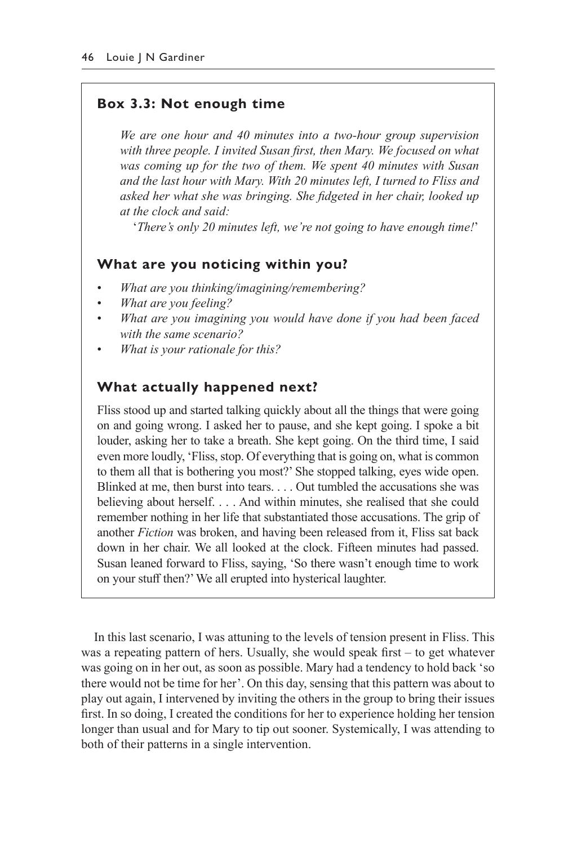## **Box 3.3: Not enough time**

*We are one hour and 40 minutes into a two-hour group supervision with three people. I invited Susan first, then Mary. We focused on what was coming up for the two of them. We spent 40 minutes with Susan and the last hour with Mary. With 20 minutes left, I turned to Fliss and asked her what she was bringing. She fidgeted in her chair, looked up at the clock and said:*

'*There's only 20 minutes left, we're not going to have enough time!*'

#### **What are you noticing within you?**

- *What are you thinking/imagining/remembering?*
- *What are you feeling?*
- *What are you imagining you would have done if you had been faced with the same scenario?*
- *What is your rationale for this?*

# **What actually happened next?**

Fliss stood up and started talking quickly about all the things that were going on and going wrong. I asked her to pause, and she kept going. I spoke a bit louder, asking her to take a breath. She kept going. On the third time, I said even more loudly, 'Fliss, stop. Of everything that is going on, what is common to them all that is bothering you most?' She stopped talking, eyes wide open. Blinked at me, then burst into tears. . . . Out tumbled the accusations she was believing about herself. . . . And within minutes, she realised that she could remember nothing in her life that substantiated those accusations. The grip of another *Fiction* was broken, and having been released from it, Fliss sat back down in her chair. We all looked at the clock. Fifteen minutes had passed. Susan leaned forward to Fliss, saying, 'So there wasn't enough time to work on your stuff then?' We all erupted into hysterical laughter.

In this last scenario, I was attuning to the levels of tension present in Fliss. This was a repeating pattern of hers. Usually, she would speak first – to get whatever was going on in her out, as soon as possible. Mary had a tendency to hold back 'so there would not be time for her'. On this day, sensing that this pattern was about to play out again, I intervened by inviting the others in the group to bring their issues first. In so doing, I created the conditions for her to experience holding her tension longer than usual and for Mary to tip out sooner. Systemically, I was attending to both of their patterns in a single intervention.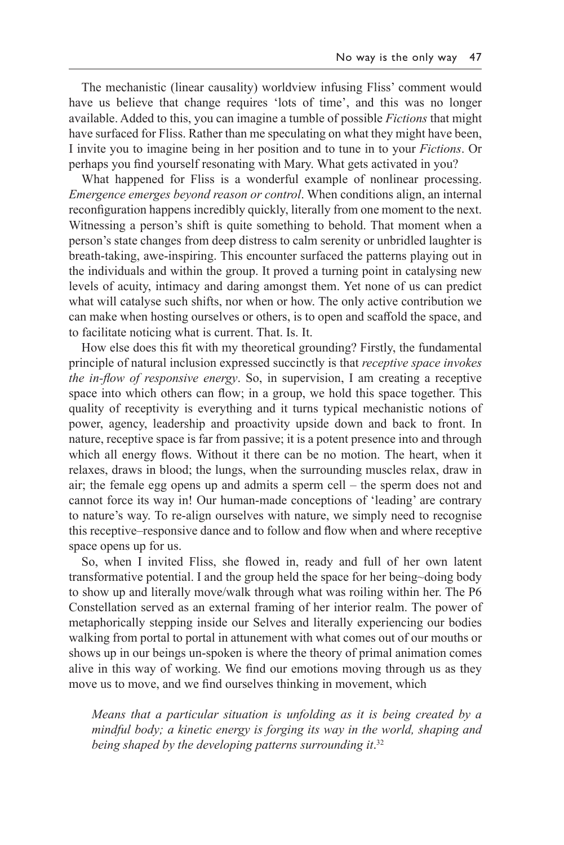The mechanistic (linear causality) worldview infusing Fliss' comment would have us believe that change requires 'lots of time', and this was no longer available. Added to this, you can imagine a tumble of possible *Fictions* that might have surfaced for Fliss. Rather than me speculating on what they might have been, I invite you to imagine being in her position and to tune in to your *Fictions*. Or perhaps you find yourself resonating with Mary. What gets activated in you?

What happened for Fliss is a wonderful example of nonlinear processing. *Emergence emerges beyond reason or control*. When conditions align, an internal reconfiguration happens incredibly quickly, literally from one moment to the next. Witnessing a person's shift is quite something to behold. That moment when a person's state changes from deep distress to calm serenity or unbridled laughter is breath-taking, awe-inspiring. This encounter surfaced the patterns playing out in the individuals and within the group. It proved a turning point in catalysing new levels of acuity, intimacy and daring amongst them. Yet none of us can predict what will catalyse such shifts, nor when or how. The only active contribution we can make when hosting ourselves or others, is to open and scaffold the space, and to facilitate noticing what is current. That. Is. It.

How else does this fit with my theoretical grounding? Firstly, the fundamental principle of natural inclusion expressed succinctly is that *receptive space invokes the in-flow of responsive energy*. So, in supervision, I am creating a receptive space into which others can flow; in a group, we hold this space together. This quality of receptivity is everything and it turns typical mechanistic notions of power, agency, leadership and proactivity upside down and back to front. In nature, receptive space is far from passive; it is a potent presence into and through which all energy flows. Without it there can be no motion. The heart, when it relaxes, draws in blood; the lungs, when the surrounding muscles relax, draw in air; the female egg opens up and admits a sperm cell – the sperm does not and cannot force its way in! Our human-made conceptions of 'leading' are contrary to nature's way. To re-align ourselves with nature, we simply need to recognise this receptive–responsive dance and to follow and flow when and where receptive space opens up for us.

So, when I invited Fliss, she flowed in, ready and full of her own latent transformative potential. I and the group held the space for her being~doing body to show up and literally move/walk through what was roiling within her. The P6 Constellation served as an external framing of her interior realm. The power of metaphorically stepping inside our Selves and literally experiencing our bodies walking from portal to portal in attunement with what comes out of our mouths or shows up in our beings un-spoken is where the theory of primal animation comes alive in this way of working. We find our emotions moving through us as they move us to move, and we find ourselves thinking in movement, which

*Means that a particular situation is unfolding as it is being created by a mindful body; a kinetic energy is forging its way in the world, shaping and being shaped by the developing patterns surrounding it*. 32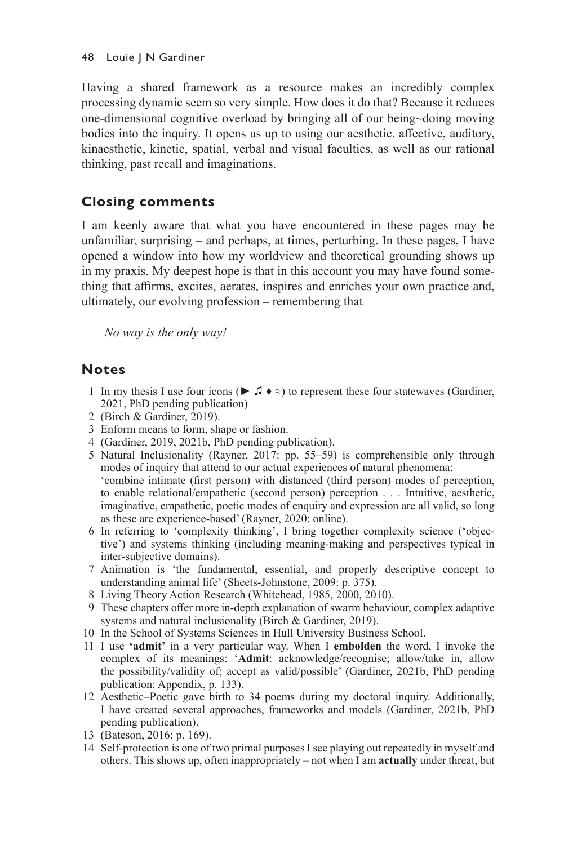Having a shared framework as a resource makes an incredibly complex processing dynamic seem so very simple. How does it do that? Because it reduces one-dimensional cognitive overload by bringing all of our being~doing moving bodies into the inquiry. It opens us up to using our aesthetic, affective, auditory, kinaesthetic, kinetic, spatial, verbal and visual faculties, as well as our rational thinking, past recall and imaginations.

## **Closing comments**

I am keenly aware that what you have encountered in these pages may be unfamiliar, surprising – and perhaps, at times, perturbing. In these pages, I have opened a window into how my worldview and theoretical grounding shows up in my praxis. My deepest hope is that in this account you may have found something that affirms, excites, aerates, inspires and enriches your own practice and, ultimately, our evolving profession – remembering that

*No way is the only way!*

#### **Notes**

- 1 In my thesis I use four icons ( $\blacktriangleright \Box \blacklozenge \gtrsim$ ) to represent these four statewaves (Gardiner, 2021, PhD pending publication)
- 2 (Birch & Gardiner, 2019).
- 3 Enform means to form, shape or fashion.
- 4 (Gardiner, 2019, 2021b, PhD pending publication).
- 5 Natural Inclusionality (Rayner, 2017: pp. 55–59) is comprehensible only through modes of inquiry that attend to our actual experiences of natural phenomena: 'combine intimate (first person) with distanced (third person) modes of perception, to enable relational/empathetic (second person) perception . . . Intuitive, aesthetic, imaginative, empathetic, poetic modes of enquiry and expression are all valid, so long as these are experience-based' (Rayner, 2020: online).
- 6 In referring to 'complexity thinking', I bring together complexity science ('objective') and systems thinking (including meaning-making and perspectives typical in inter-subjective domains).
- 7 Animation is 'the fundamental, essential, and properly descriptive concept to understanding animal life' (Sheets-Johnstone, 2009: p. 375).
- 8 Living Theory Action Research (Whitehead, 1985, 2000, 2010).
- 9 These chapters offer more in-depth explanation of swarm behaviour, complex adaptive systems and natural inclusionality (Birch & Gardiner, 2019).
- 10 In the School of Systems Sciences in Hull University Business School.
- 11 I use **'admit'** in a very particular way. When I **embolden** the word, I invoke the complex of its meanings: '**Admit**: acknowledge/recognise; allow/take in, allow the possibility/validity of; accept as valid/possible' (Gardiner, 2021b, PhD pending publication: Appendix, p. 133).
- 12 Aesthetic–Poetic gave birth to 34 poems during my doctoral inquiry. Additionally, I have created several approaches, frameworks and models (Gardiner, 2021b, PhD pending publication).
- 13 (Bateson, 2016: p. 169).
- 14 Self-protection is one of two primal purposes I see playing out repeatedly in myself and others. This shows up, often inappropriately – not when I am **actually** under threat, but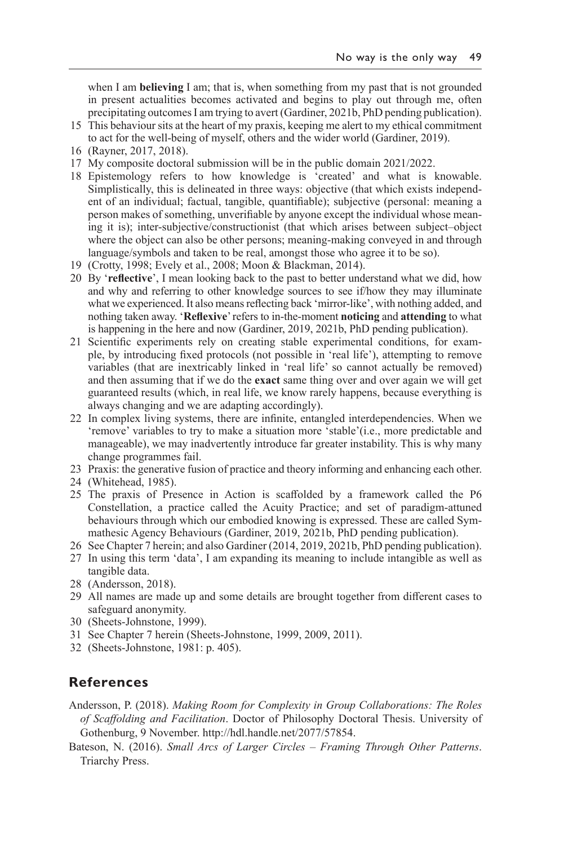when I am **believing** I am; that is, when something from my past that is not grounded in present actualities becomes activated and begins to play out through me, often precipitating outcomes I am trying to avert (Gardiner, 2021b, PhD pending publication).

- 15 This behaviour sits at the heart of my praxis, keeping me alert to my ethical commitment to act for the well-being of myself, others and the wider world (Gardiner, 2019).
- 16 (Rayner, 2017, 2018).
- 17 My composite doctoral submission will be in the public domain 2021/2022.
- 18 Epistemology refers to how knowledge is 'created' and what is knowable. Simplistically, this is delineated in three ways: objective (that which exists independent of an individual; factual, tangible, quantifiable); subjective (personal: meaning a person makes of something, unverifiable by anyone except the individual whose meaning it is); inter-subjective/constructionist (that which arises between subject–object where the object can also be other persons; meaning-making conveyed in and through language/symbols and taken to be real, amongst those who agree it to be so).
- 19 (Crotty, 1998; Evely et al., 2008; Moon & Blackman, 2014).
- 20 By '**reflective**', I mean looking back to the past to better understand what we did, how and why and referring to other knowledge sources to see if/how they may illuminate what we experienced. It also means reflecting back 'mirror-like', with nothing added, and nothing taken away. '**Reflexive**' refers to in-the-moment **noticing** and **attending** to what is happening in the here and now (Gardiner, 2019, 2021b, PhD pending publication).
- 21 Scientific experiments rely on creating stable experimental conditions, for example, by introducing fixed protocols (not possible in 'real life'), attempting to remove variables (that are inextricably linked in 'real life' so cannot actually be removed) and then assuming that if we do the **exact** same thing over and over again we will get guaranteed results (which, in real life, we know rarely happens, because everything is always changing and we are adapting accordingly).
- 22 In complex living systems, there are infinite, entangled interdependencies. When we 'remove' variables to try to make a situation more 'stable'(i.e., more predictable and manageable), we may inadvertently introduce far greater instability. This is why many change programmes fail.
- 23 Praxis: the generative fusion of practice and theory informing and enhancing each other.
- 24 (Whitehead, 1985).
- 25 The praxis of Presence in Action is scaffolded by a framework called the P6 Constellation, a practice called the Acuity Practice; and set of paradigm-attuned behaviours through which our embodied knowing is expressed. These are called Symmathesic Agency Behaviours (Gardiner, 2019, 2021b, PhD pending publication).
- 26 See Chapter 7 herein; and also Gardiner (2014, 2019, 2021b, PhD pending publication).
- 27 In using this term 'data', I am expanding its meaning to include intangible as well as tangible data.
- 28 (Andersson, 2018).
- 29 All names are made up and some details are brought together from different cases to safeguard anonymity.
- 30 (Sheets-Johnstone, 1999).
- 31 See Chapter 7 herein (Sheets-Johnstone, 1999, 2009, 2011).
- 32 (Sheets-Johnstone, 1981: p. 405).

## **References**

- Andersson, P. (2018). *Making Room for Complexity in Group Collaborations: The Roles of Scaffolding and Facilitation*. Doctor of Philosophy Doctoral Thesis. University of Gothenburg, 9 November. http://hdl.handle.net/2077/57854.
- Bateson, N. (2016). *Small Arcs of Larger Circles Framing Through Other Patterns*. Triarchy Press.